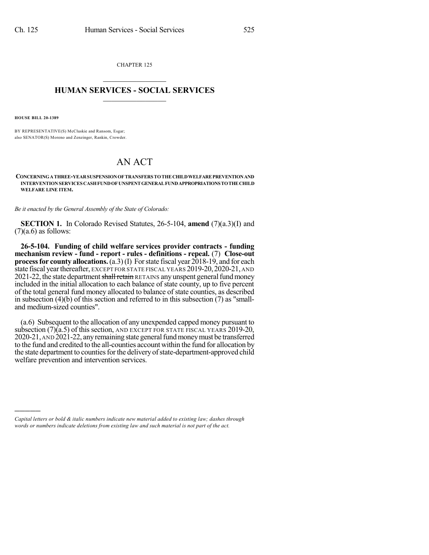CHAPTER 125  $\mathcal{L}_\text{max}$  . The set of the set of the set of the set of the set of the set of the set of the set of the set of the set of the set of the set of the set of the set of the set of the set of the set of the set of the set

## **HUMAN SERVICES - SOCIAL SERVICES**  $\frac{1}{2}$  ,  $\frac{1}{2}$  ,  $\frac{1}{2}$  ,  $\frac{1}{2}$  ,  $\frac{1}{2}$  ,  $\frac{1}{2}$

**HOUSE BILL 20-1389**

)))))

BY REPRESENTATIVE(S) McCluskie and Ransom, Esgar; also SENATOR(S) Moreno and Zenzinger, Rankin, Crowder.

## AN ACT

**CONCERNINGATHREE-YEARSUSPENSIONOFTRANSFERSTOTHECHILDWELFAREPREVENTIONAND INTERVENTIONSERVICES CASHFUNDOFUNSPENTGENERALFUNDAPPROPRIATIONSTOTHECHILD WELFARE LINE ITEM.**

*Be it enacted by the General Assembly of the State of Colorado:*

**SECTION 1.** In Colorado Revised Statutes, 26-5-104, **amend** (7)(a.3)(I) and  $(7)(a.6)$  as follows:

**26-5-104. Funding of child welfare services provider contracts - funding mechanism review - fund - report - rules - definitions - repeal.** (7) **Close-out process for county allocations.** (a.3)(I) For state fiscal year 2018-19, and for each state fiscal yearthereafter, EXCEPT FOR STATE FISCAL YEARS 2019-20,2020-21, AND 2021-22, the state department shall retain RETAINS any unspent general fund money included in the initial allocation to each balance of state county, up to five percent of the total general fund money allocated to balance of state counties, as described in subsection (4)(b) of this section and referred to in this subsection (7) as "smalland medium-sized counties".

(a.6) Subsequent to the allocation of any unexpended capped money pursuant to subsection (7)(a.5) of this section, AND EXCEPT FOR STATE FISCAL YEARS 2019-20, 2020-21, AND 2021-22, any remaining state general fund money must be transferred to the fund and credited to the all-counties account within the fund for allocation by the state department to counties for the delivery of state-department-approved child welfare prevention and intervention services.

*Capital letters or bold & italic numbers indicate new material added to existing law; dashes through words or numbers indicate deletions from existing law and such material is not part of the act.*